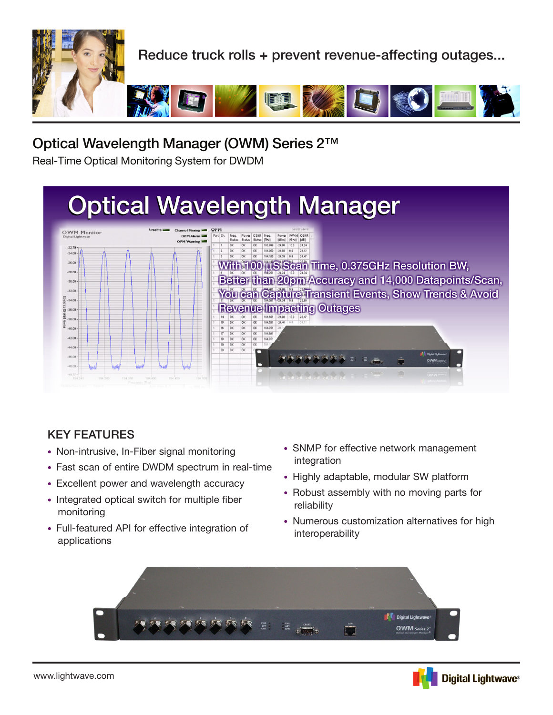

# Optical Wavelength Manager (OWM) Series 2™

Real-Time Optical Monitoring System for DWDM

# **Optical Wavelength Manager**



### KEY FEATURES

- Non-intrusive, In-Fiber signal monitoring
- Fast scan of entire DWDM spectrum in real-time
- Excellent power and wavelength accuracy
- Integrated optical switch for multiple fiber monitoring
- Full-featured API for effective integration of applications
- SNMP for effective network management integration
- Highly adaptable, modular SW platform
- Robust assembly with no moving parts for reliability
- Numerous customization alternatives for high interoperability



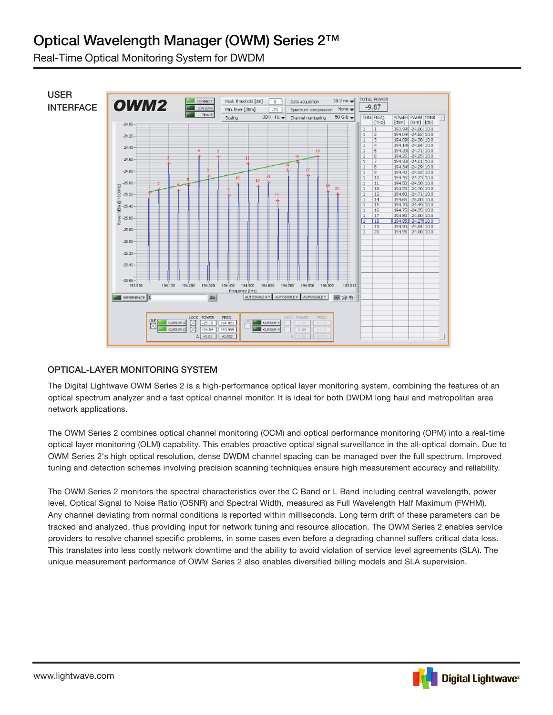# Optical Wavelength Manager (OWM) Series 2™

Real-Time Optical Monitoring System for DWDM



### OPTICAL-LAYER MONITORING SYSTEM

The Digital Lightwave OWM Series 2 is a high-performance optical layer monitoring system, combining the features of an optical spectrum analyzer and a fast optical channel monitor. It is ideal for both DWDM long haul and metropolitan area network applications.

The OWM Series 2 combines optical channel monitoring (OCM) and optical performance monitoring (OPM) into a real-time optical layer monitoring (OLM) capability. This enables proactive optical signal surveillance in the all-optical domain. Due to OWM Series 2's high optical resolution, dense DWDM channel spacing can be managed over the full spectrum. Improved tuning and detection schemes involving precision scanning techniques ensure high measurement accuracy and reliability.

The OWM Series 2 monitors the spectral characteristics over the C Band or L Band including central wavelength, power level, Optical Signal to Noise Ratio (OSNR) and Spectral Width, measured as Full Wavelength Half Maximum (FWHM). Any channel deviating from normal conditions is reported within milliseconds. Long term drift of these parameters can be tracked and analyzed, thus providing input for network tuning and resource allocation. The OWM Series 2 enables service providers to resolve channel specific problems, in some cases even before a degrading channel suffers critical data loss. This translates into less costly network downtime and the ability to avoid violation of service level agreements (SLA). The unique measurement performance of OWM Series 2 also enables diversified billing models and SLA supervision.

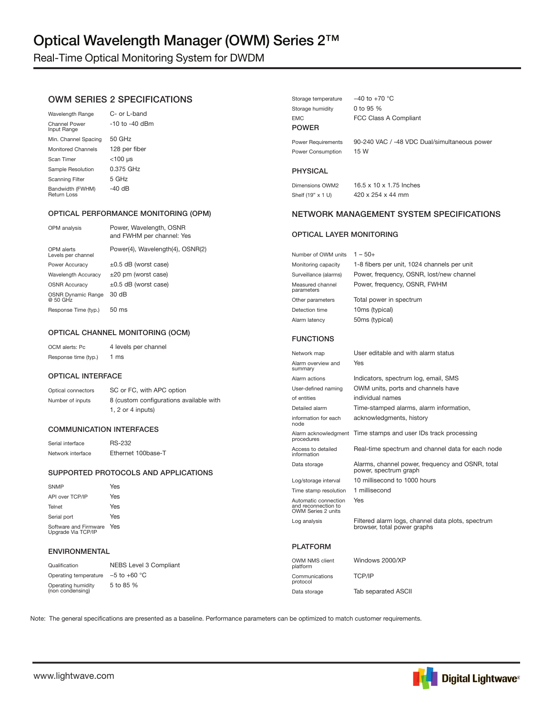## Optical Wavelength Manager (OWM) Series 2™

Real-Time Optical Monitoring System for DWDM

### OWM SERIES 2 SPECIFICATIONS

| <b>Wavelength Range</b>             | C- or L-band   |
|-------------------------------------|----------------|
| <b>Channel Power</b><br>Input Range | -10 to -40 dBm |
| Min. Channel Spacing                | $50$ GHz       |
| <b>Monitored Channels</b>           | 128 per fiber  |
| Scan Timer                          | $<$ 100 µs     |
| Sample Resolution                   | 0.375 GHz      |
| <b>Scanning Filter</b>              | 5 GHz          |
| Bandwidth (FWHM)<br>Return Loss     | -40 dB         |

#### OPTICAL PERFORMANCE MONITORING (OPM)

| OPM analysis                          | Power, Wavelength, OSNR<br>and FWHM per channel: Yes |
|---------------------------------------|------------------------------------------------------|
| OPM alerts<br>Levels per channel      | Power(4), Wavelength(4), OSNR(2)                     |
| Power Accuracy                        | $\pm 0.5$ dB (worst case)                            |
| <b>Wavelength Accuracy</b>            | $\pm 20$ pm (worst case)                             |
| <b>OSNR Accuracy</b>                  | $\pm 0.5$ dB (worst case)                            |
| <b>OSNR Dynamic Range</b><br>@ 50 GHz | 30 dB                                                |
| Response Time (typ.)                  | $50 \text{ ms}$                                      |
|                                       |                                                      |

#### OPTICAL CHANNEL MONITORING (OCM)

OCM alerts: Pc 4 levels per channel Response time (typ.) 1 ms

#### OPTICAL INTERFACE

Optical connectors SC or FC, with APC option Number of inputs 8 (custom configurations available with 1, 2 or 4 inputs)

#### COMMUNICATION INTERFACES

Serial interface RS-232 Network interface Ethernet 100base-T

#### SUPPORTED PROTOCOLS AND APPLICATIONS

| <b>SNMP</b>                                 | Yes |
|---------------------------------------------|-----|
| API over TCP/IP                             | Yes |
| Telnet                                      | Yes |
| Serial port                                 | Yes |
| Software and Firmware<br>Upgrade Via TCP/IP | Yes |

#### ENVIRONMENTAL

| Qualification                          | NEBS Level 3 Compliant |
|----------------------------------------|------------------------|
| Operating temperature $-5$ to $+60$ °C |                        |
| Operating humidity<br>(non condensing) | 5 to 85 %              |

| Storage temperature | $-40$ to $+70$ °C                            |
|---------------------|----------------------------------------------|
| Storage humidity    | 0 to 95 $%$                                  |
| <b>EMC</b>          | FCC Class A Compliant                        |
| <b>POWER</b>        |                                              |
| Power Requirements  | 90-240 VAC / -48 VDC Dual/simultaneous power |
| Power Consumption   | 15 W                                         |

#### PHYSICAL

Shelf (19" x 1 U) 420 x 254 x 44 mm

Dimensions OWM2 16.5 x 10 x 1.75 Inches

#### NETWORK MANAGEMENT SYSTEM SPECIFICATIONS

#### OPTICAL LAYER MONITORING

| Number of OWM units            | $1 - 50+$                                   |
|--------------------------------|---------------------------------------------|
| Monitoring capacity            | 1-8 fibers per unit, 1024 channels per unit |
| Surveillance (alarms)          | Power, frequency, OSNR, lost/new channel    |
| Measured channel<br>parameters | Power, frequency, OSNR, FWHM                |
| Other parameters               | Total power in spectrum                     |
| Detection time                 | 10ms (typical)                              |
| Alarm latency                  | 50ms (typical)                              |

#### FUNCTIONS

| Network map                                                       | User editable and with alarm status                                              |
|-------------------------------------------------------------------|----------------------------------------------------------------------------------|
| Alarm overview and<br>summary                                     | Yes                                                                              |
| Alarm actions                                                     | Indicators, spectrum log, email, SMS                                             |
| User-defined naming                                               | OWM units, ports and channels have                                               |
| of entities                                                       | individual names                                                                 |
| Detailed alarm                                                    | Time-stamped alarms, alarm information,                                          |
| information for each<br>node                                      | acknowledgments, history                                                         |
| procedures                                                        | Alarm acknowledgment Time stamps and user IDs track processing                   |
| Access to detailed<br>information                                 | Real-time spectrum and channel data for each node                                |
| Data storage                                                      | Alarms, channel power, frequency and OSNR, total<br>power, spectrum graph        |
| Log/storage interval                                              | 10 millisecond to 1000 hours                                                     |
| Time stamp resolution                                             | 1 millisecond                                                                    |
| Automatic connection<br>and reconnection to<br>OWM Series 2 units | Yes                                                                              |
| Log analysis                                                      | Filtered alarm logs, channel data plots, spectrum<br>browser, total power graphs |
| PLATFORM                                                          |                                                                                  |

| OWM NMS client<br>platform | Windows 2000/XP            |
|----------------------------|----------------------------|
| Communications<br>protocol | TCP/IP                     |
| Data storage               | <b>Tab separated ASCII</b> |

Note: The general specifications are presented as a baseline. Performance parameters can be optimized to match customer requirements.